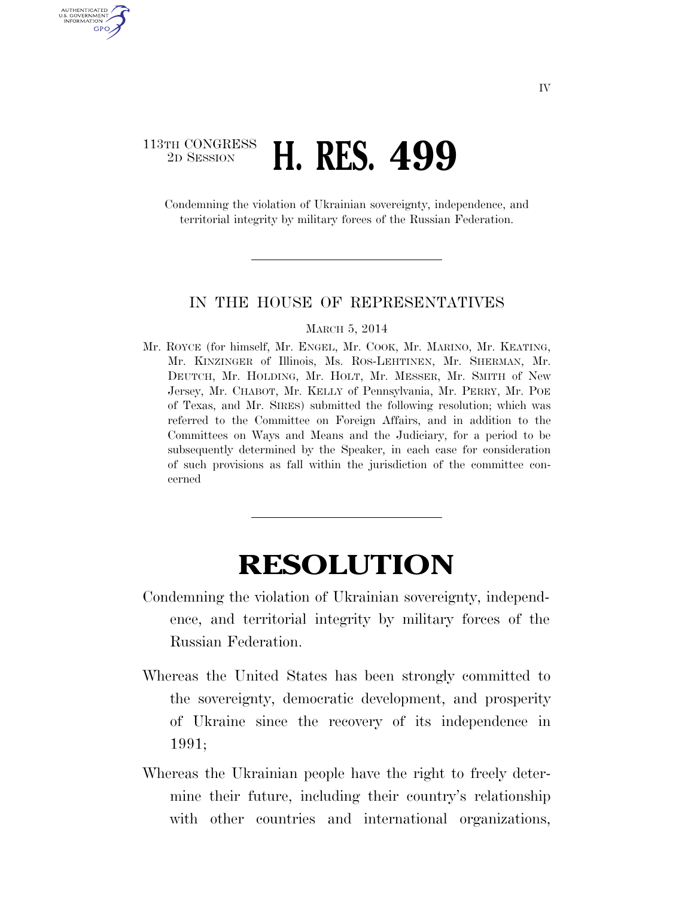## 113TH CONGRESS<br>2D SESSION 2D SESSION **H. RES. 499**

U.S. GOVERNMENT GPO

> Condemning the violation of Ukrainian sovereignty, independence, and territorial integrity by military forces of the Russian Federation.

## IN THE HOUSE OF REPRESENTATIVES

## MARCH 5, 2014

Mr. ROYCE (for himself, Mr. ENGEL, Mr. COOK, Mr. MARINO, Mr. KEATING, Mr. KINZINGER of Illinois, Ms. ROS-LEHTINEN, Mr. SHERMAN, Mr. DEUTCH, Mr. HOLDING, Mr. HOLT, Mr. MESSER, Mr. SMITH of New Jersey, Mr. CHABOT, Mr. KELLY of Pennsylvania, Mr. PERRY, Mr. POE of Texas, and Mr. SIRES) submitted the following resolution; which was referred to the Committee on Foreign Affairs, and in addition to the Committees on Ways and Means and the Judiciary, for a period to be subsequently determined by the Speaker, in each case for consideration of such provisions as fall within the jurisdiction of the committee concerned

## **RESOLUTION**

- Condemning the violation of Ukrainian sovereignty, independence, and territorial integrity by military forces of the Russian Federation.
- Whereas the United States has been strongly committed to the sovereignty, democratic development, and prosperity of Ukraine since the recovery of its independence in 1991;
- Whereas the Ukrainian people have the right to freely determine their future, including their country's relationship with other countries and international organizations,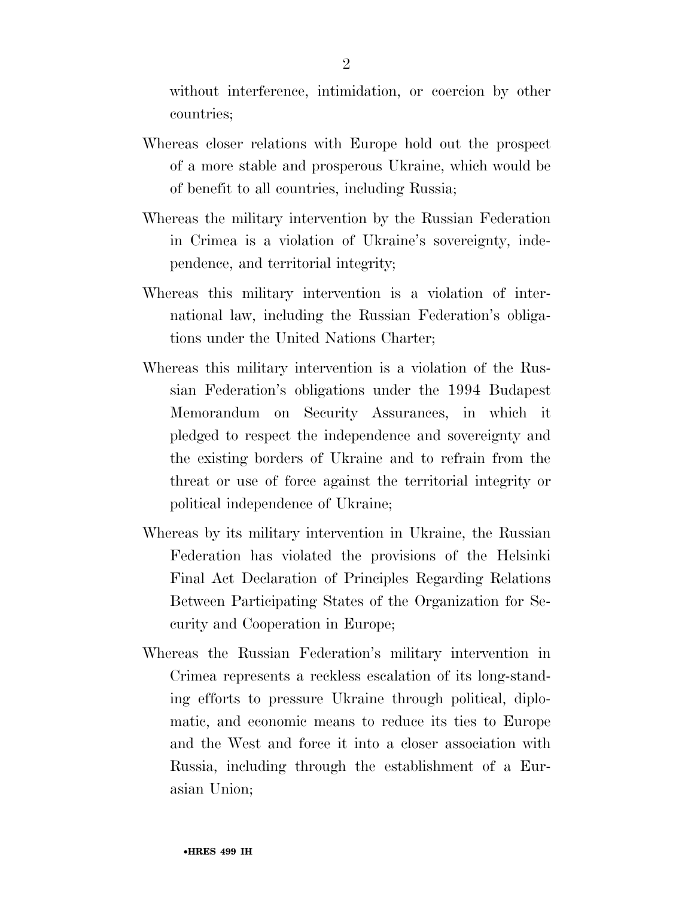without interference, intimidation, or coercion by other countries;

- Whereas closer relations with Europe hold out the prospect of a more stable and prosperous Ukraine, which would be of benefit to all countries, including Russia;
- Whereas the military intervention by the Russian Federation in Crimea is a violation of Ukraine's sovereignty, independence, and territorial integrity;
- Whereas this military intervention is a violation of international law, including the Russian Federation's obligations under the United Nations Charter;
- Whereas this military intervention is a violation of the Russian Federation's obligations under the 1994 Budapest Memorandum on Security Assurances, in which it pledged to respect the independence and sovereignty and the existing borders of Ukraine and to refrain from the threat or use of force against the territorial integrity or political independence of Ukraine;
- Whereas by its military intervention in Ukraine, the Russian Federation has violated the provisions of the Helsinki Final Act Declaration of Principles Regarding Relations Between Participating States of the Organization for Security and Cooperation in Europe;
- Whereas the Russian Federation's military intervention in Crimea represents a reckless escalation of its long-standing efforts to pressure Ukraine through political, diplomatic, and economic means to reduce its ties to Europe and the West and force it into a closer association with Russia, including through the establishment of a Eurasian Union;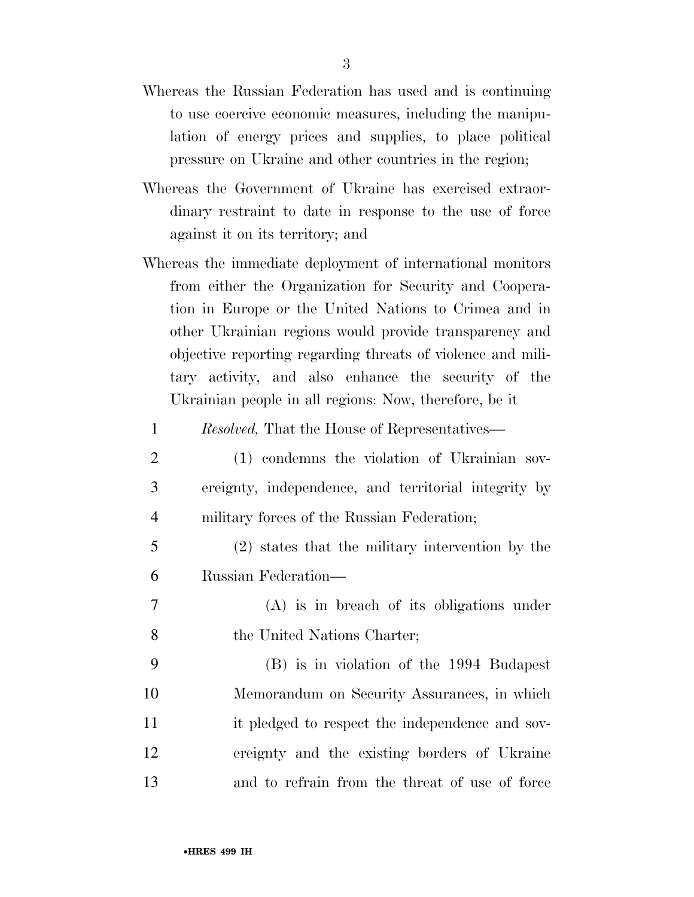- Whereas the Russian Federation has used and is continuing to use coercive economic measures, including the manipulation of energy prices and supplies, to place political pressure on Ukraine and other countries in the region;
- Whereas the Government of Ukraine has exercised extraordinary restraint to date in response to the use of force against it on its territory; and
- Whereas the immediate deployment of international monitors from either the Organization for Security and Cooperation in Europe or the United Nations to Crimea and in other Ukrainian regions would provide transparency and objective reporting regarding threats of violence and military activity, and also enhance the security of the Ukrainian people in all regions: Now, therefore, be it
	- 1 *Resolved,* That the House of Representatives—
- 2 (1) condemns the violation of Ukrainian sov-3 ereignty, independence, and territorial integrity by 4 military forces of the Russian Federation;
- 5 (2) states that the military intervention by the 6 Russian Federation—
- 7 (A) is in breach of its obligations under 8 the United Nations Charter;
- 9 (B) is in violation of the 1994 Budapest 10 Memorandum on Security Assurances, in which 11 it pledged to respect the independence and sov-12 ereignty and the existing borders of Ukraine 13 and to refrain from the threat of use of force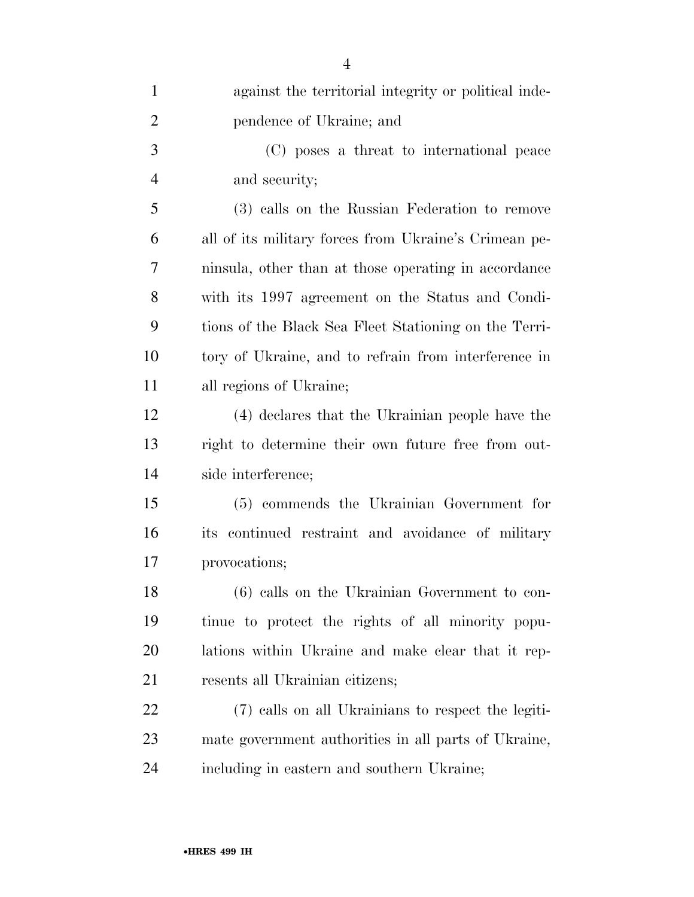| $\mathbf{1}$   | against the territorial integrity or political inde-  |
|----------------|-------------------------------------------------------|
| $\overline{2}$ | pendence of Ukraine; and                              |
| 3              | (C) poses a threat to international peace             |
| $\overline{4}$ | and security;                                         |
| 5              | (3) calls on the Russian Federation to remove         |
| 6              | all of its military forces from Ukraine's Crimean pe- |
| 7              | ninsula, other than at those operating in accordance  |
| 8              | with its 1997 agreement on the Status and Condi-      |
| 9              | tions of the Black Sea Fleet Stationing on the Terri- |
| 10             | tory of Ukraine, and to refrain from interference in  |
| 11             | all regions of Ukraine;                               |
| 12             | (4) declares that the Ukrainian people have the       |
| 13             | right to determine their own future free from out-    |
| 14             | side interference;                                    |
| 15             | (5) commends the Ukrainian Government for             |
| 16             | its continued restraint and avoidance of military     |
| 17             | provocations;                                         |
| 18             | (6) calls on the Ukrainian Government to con-         |
| 19             | tinue to protect the rights of all minority popu-     |
| 20             | lations within Ukraine and make clear that it rep-    |
| 21             | resents all Ukrainian citizens;                       |
| 22             | (7) calls on all Ukrainians to respect the legiti-    |
| 23             | mate government authorities in all parts of Ukraine,  |
| 24             | including in eastern and southern Ukraine;            |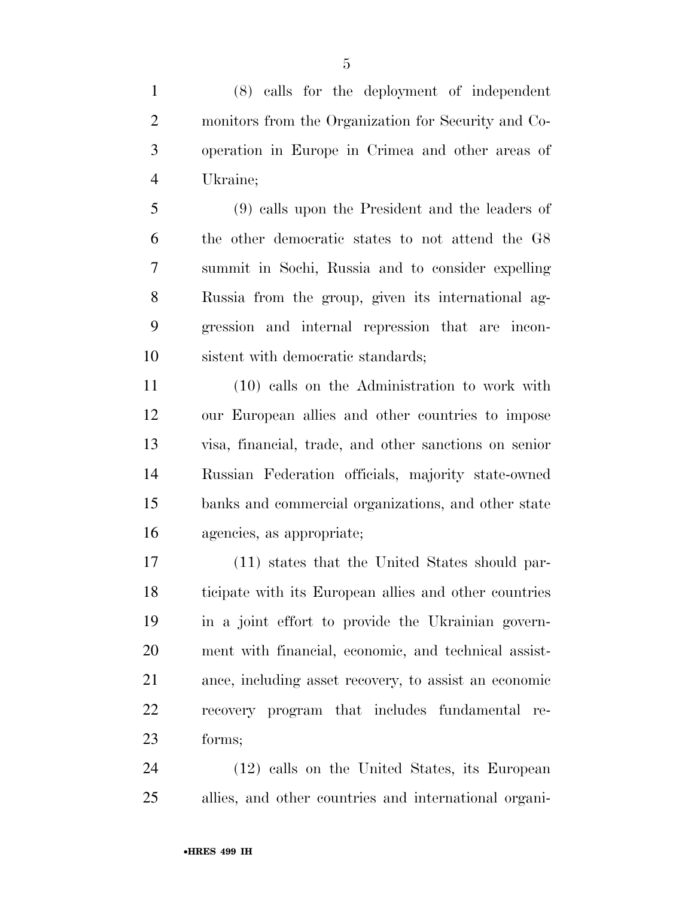(8) calls for the deployment of independent monitors from the Organization for Security and Co- operation in Europe in Crimea and other areas of Ukraine;

 (9) calls upon the President and the leaders of the other democratic states to not attend the G8 summit in Sochi, Russia and to consider expelling Russia from the group, given its international ag- gression and internal repression that are incon-sistent with democratic standards;

 (10) calls on the Administration to work with our European allies and other countries to impose visa, financial, trade, and other sanctions on senior Russian Federation officials, majority state-owned banks and commercial organizations, and other state agencies, as appropriate;

 (11) states that the United States should par- ticipate with its European allies and other countries in a joint effort to provide the Ukrainian govern- ment with financial, economic, and technical assist- ance, including asset recovery, to assist an economic recovery program that includes fundamental re-forms;

 (12) calls on the United States, its European allies, and other countries and international organi-